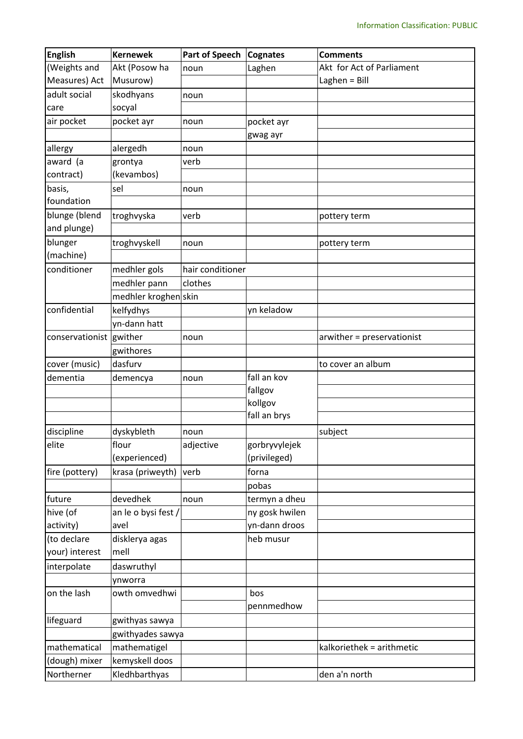| <b>English</b>          | <b>Kernewek</b>      | <b>Part of Speech</b> | <b>Cognates</b> | <b>Comments</b>            |
|-------------------------|----------------------|-----------------------|-----------------|----------------------------|
| (Weights and            | Akt (Posow ha        | noun                  | Laghen          | Akt for Act of Parliament  |
| Measures) Act           | Musurow)             |                       |                 | Laghen = Bill              |
| adult social            | skodhyans            | noun                  |                 |                            |
| care                    | socyal               |                       |                 |                            |
| air pocket              | pocket ayr           | noun                  | pocket ayr      |                            |
|                         |                      |                       | gwag ayr        |                            |
| allergy                 | alergedh             | noun                  |                 |                            |
| award (a                | grontya              | verb                  |                 |                            |
| contract)               | (kevambos)           |                       |                 |                            |
| basis,                  | sel                  | noun                  |                 |                            |
| foundation              |                      |                       |                 |                            |
| blunge (blend           | troghvyska           | verb                  |                 | pottery term               |
| and plunge)             |                      |                       |                 |                            |
| blunger                 | troghvyskell         | noun                  |                 | pottery term               |
| (machine)               |                      |                       |                 |                            |
| conditioner             | medhler gols         | hair conditioner      |                 |                            |
|                         | medhler pann         | clothes               |                 |                            |
|                         | medhler kroghen skin |                       |                 |                            |
| confidential            | kelfydhys            |                       | yn keladow      |                            |
|                         | yn-dann hatt         |                       |                 |                            |
| conservationist gwither |                      | noun                  |                 | arwither = preservationist |
|                         | gwithores            |                       |                 |                            |
| cover (music)           | dasfurv              |                       |                 | to cover an album          |
| dementia                | demencya             | noun                  | fall an kov     |                            |
|                         |                      |                       | fallgov         |                            |
|                         |                      |                       | kollgov         |                            |
|                         |                      |                       | fall an brys    |                            |
| discipline              | dyskybleth           | noun                  |                 | subject                    |
| elite                   | flour                | adjective             | gorbryvylejek   |                            |
|                         | (experienced)        |                       | (privileged)    |                            |
| fire (pottery)          | krasa (priweyth)     | verb                  | forna           |                            |
|                         |                      |                       | pobas           |                            |
| future                  | devedhek             | noun                  | termyn a dheu   |                            |
| hive (of                | an le o bysi fest /  |                       | ny gosk hwilen  |                            |
| activity)               | avel                 |                       | yn-dann droos   |                            |
| (to declare             | disklerya agas       |                       | heb musur       |                            |
| your) interest          | mell                 |                       |                 |                            |
| interpolate             | daswruthyl           |                       |                 |                            |
|                         | ynworra              |                       |                 |                            |
| on the lash             | owth omvedhwi        |                       | bos             |                            |
|                         |                      |                       | pennmedhow      |                            |
| lifeguard               | gwithyas sawya       |                       |                 |                            |
|                         | gwithyades sawya     |                       |                 |                            |
| mathematical            | mathematigel         |                       |                 | kalkoriethek = arithmetic  |
| (dough) mixer           | kemyskell doos       |                       |                 |                            |
| Northerner              | Kledhbarthyas        |                       |                 | den a'n north              |